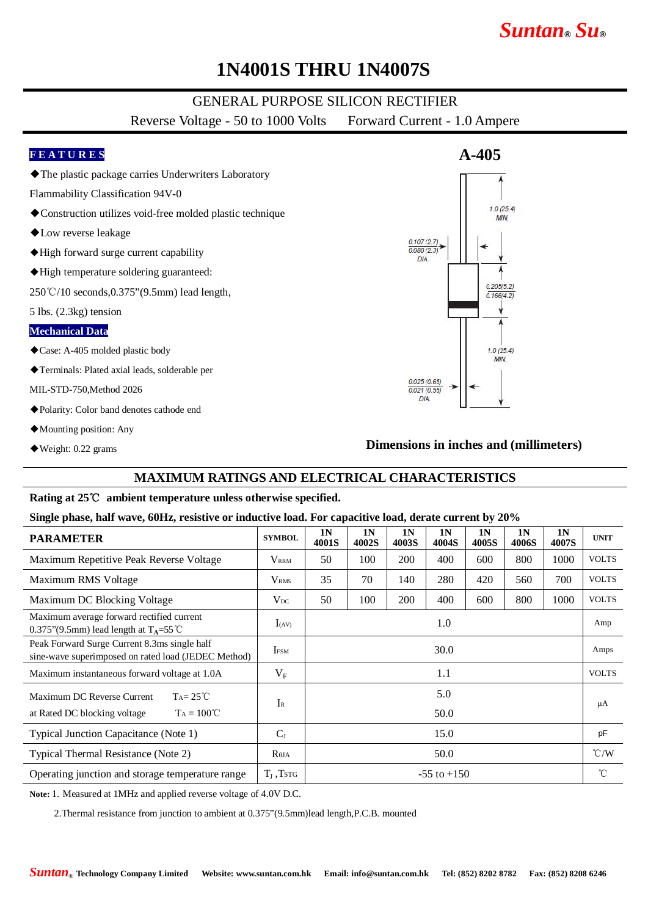# **1N4001S THRU 1N4007S**

### GENERAL PURPOSE SILICON RECTIFIER

Reverse Voltage - 50 to 1000 Volts Forward Current - 1.0 Ampere

### **F E A T U R E S**

- ◆The plastic package carries Underwriters Laboratory
- Flammability Classification 94V-0
- ◆ Construction utilizes void-free molded plastic technique
- ◆Low reverse leakage
- ◆High forward surge current capability
- ◆High temperature soldering guaranteed:

250℃/10 seconds,0.375"(9.5mm) lead length,

5 lbs. (2.3kg) tension

#### **Mechanical Data**

- ◆Case: A-405 molded plastic body
- ◆Terminals: Plated axial leads, solderable per

#### MIL-STD-750,Method 2026

- ◆Polarity: Color band denotes cathode end
- ◆Mounting position: Any
- ◆Weight: 0.22 grams

### **Dimensions in inches and (millimeters)**

### **MAXIMUM RATINGS AND ELECTRICAL CHARACTERISTICS**

### **Rating at 25**℃ **ambient temperature unless otherwise specified.**

#### **Single phase, half wave, 60Hz, resistive or inductive load. For capacitive load, derate current by 20%**

| <b>PARAMETER</b>                                                                                    | <b>SYMBOL</b>    | 1 <sub>N</sub><br>4001S | 1 <sub>N</sub><br>4002S | 1 <sub>N</sub><br>4003S | 1 <sub>N</sub><br>4004S | 1 <sub>N</sub><br>4005S | 1 <sub>N</sub><br><b>4006S</b> | 1 <sub>N</sub><br>4007S | <b>UNIT</b>   |
|-----------------------------------------------------------------------------------------------------|------------------|-------------------------|-------------------------|-------------------------|-------------------------|-------------------------|--------------------------------|-------------------------|---------------|
| Maximum Repetitive Peak Reverse Voltage                                                             | $V_{\rm RRM}$    | 50                      | 100                     | 200                     | 400                     | 600                     | 800                            | 1000                    | <b>VOLTS</b>  |
| Maximum RMS Voltage                                                                                 | V <sub>RMS</sub> | 35                      | 70                      | 140                     | 280                     | 420                     | 560                            | 700                     | <b>VOLTS</b>  |
| Maximum DC Blocking Voltage                                                                         | $V_{DC}$         | 50                      | 100                     | 200                     | 400                     | 600                     | 800                            | 1000                    | <b>VOLTS</b>  |
| Maximum average forward rectified current<br>0.375"(9.5mm) lead length at $T_A = 55^{\circ}$ C      | $I_{(AV)}$       | 1.0                     |                         |                         |                         |                         |                                |                         | Amp           |
| Peak Forward Surge Current 8.3ms single half<br>sine-wave superimposed on rated load (JEDEC Method) | <b>IFSM</b>      | 30.0                    |                         |                         |                         |                         |                                |                         | Amps          |
| Maximum instantaneous forward voltage at 1.0A                                                       | $V_{\rm F}$      | 1.1                     |                         |                         |                         |                         |                                |                         | <b>VOLTS</b>  |
| $Ta = 25^{\circ}C$<br>Maximum DC Reverse Current                                                    | $\rm I_R$        | 5.0                     |                         |                         |                         |                         |                                |                         | μA            |
| $Ta = 100^{\circ}C$<br>at Rated DC blocking voltage                                                 |                  | 50.0                    |                         |                         |                         |                         |                                |                         |               |
| Typical Junction Capacitance (Note 1)                                                               | $C_{J}$          | 15.0                    |                         |                         |                         |                         |                                |                         | pF            |
| Typical Thermal Resistance (Note 2)                                                                 | $R_{\theta JA}$  | 50.0                    |                         |                         |                         |                         |                                |                         | $\degree$ C/W |
| Operating junction and storage temperature range                                                    | $T_{J}$ , Tstg   | $-55$ to $+150$         |                         |                         |                         |                         |                                |                         | $^{\circ}$ C  |

**Note:** 1. Measured at 1MHz and applied reverse voltage of 4.0V D.C.

2.Thermal resistance from junction to ambient at 0.375"(9.5mm)lead length,P.C.B. mounted

# **A-405**  $1.0(25.4)$ **MIN**  $0.107(2.7)$  $0.080(2.3)$  $DIA$  $0.205(5.2)$  $0.166(4.2)$  $1.0(25.4)$ **MIN**  $0.025(0.65)$  $0.021(0.55)$ DIA